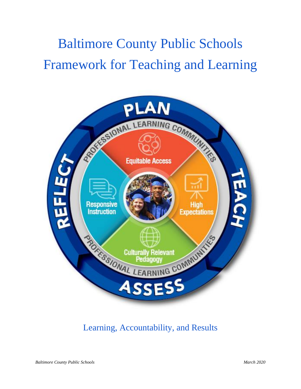# Baltimore County Public Schools Framework for Teaching and Learning



Learning, Accountability, and Results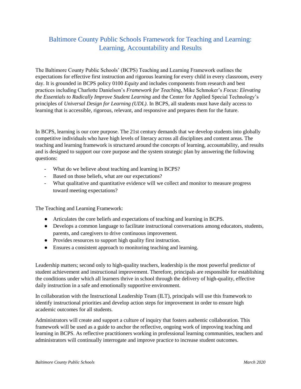## Baltimore County Public Schools Framework for Teaching and Learning: Learning, Accountability and Results

The Baltimore County Public Schools' (BCPS) Teaching and Learning Framework outlines the expectations for effective first instruction and rigorous learning for every child in every classroom, every day. It is grounded in BCPS policy 0100 *Equity* and includes components from research and best practices including Charlotte Danielson's *Framework for Teaching*, Mike Schmoker's *Focus: Elevating the Essentials to Radically Improve Student Learning* and the Center for Applied Special Technology's principles of *Universal Design for Learning (UDL)*. In BCPS, all students must have daily access to learning that is accessible, rigorous, relevant, and responsive and prepares them for the future.

In BCPS, learning is our core purpose. The 21st century demands that we develop students into globally competitive individuals who have high levels of literacy across all disciplines and content areas. The teaching and learning framework is structured around the concepts of learning, accountability, and results and is designed to support our core purpose and the system strategic plan by answering the following questions:

- What do we believe about teaching and learning in BCPS?
- Based on those beliefs, what are our expectations?
- What qualitative and quantitative evidence will we collect and monitor to measure progress toward meeting expectations?

The Teaching and Learning Framework:

- Articulates the core beliefs and expectations of teaching and learning in BCPS.
- Develops a common language to facilitate instructional conversations among educators, students, parents, and caregivers to drive continuous improvement.
- Provides resources to support high quality first instruction.
- Ensures a consistent approach to monitoring teaching and learning.

Leadership matters; second only to high-quality teachers, leadership is the most powerful predictor of student achievement and instructional improvement. Therefore, principals are responsible for establishing the conditions under which all learners thrive in school through the delivery of high-quality, effective daily instruction in a safe and emotionally supportive environment.

In collaboration with the Instructional Leadership Team (ILT), principals will use this framework to identify instructional priorities and develop action steps for improvement in order to ensure high academic outcomes for all students.

Administrators will create and support a culture of inquiry that fosters authentic collaboration. This framework will be used as a guide to anchor the reflective, ongoing work of improving teaching and learning in BCPS. As reflective practitioners working in professional learning communities, teachers and administrators will continually interrogate and improve practice to increase student outcomes.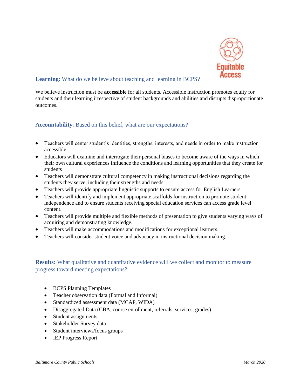

We believe instruction must be **accessible** for all students. Accessible instruction promotes equity for students and their learning irrespective of student backgrounds and abilities and disrupts disproportionate outcomes.

#### **Accountability**: Based on this belief, what are our expectations?

- Teachers will center student's identities, strengths, interests, and needs in order to make instruction accessible.
- Educators will examine and interrogate their personal biases to become aware of the ways in which their own cultural experiences influence the conditions and learning opportunities that they create for students
- Teachers will demonstrate cultural competency in making instructional decisions regarding the students they serve, including their strengths and needs.
- Teachers will provide appropriate linguistic supports to ensure access for English Learners.
- Teachers will identify and implement appropriate scaffolds for instruction to promote student independence and to ensure students receiving special education services can access grade level content.
- Teachers will provide multiple and flexible methods of presentation to give students varying ways of acquiring and demonstrating knowledge.
- Teachers will make accommodations and modifications for exceptional learners.
- Teachers will consider student voice and advocacy in instructional decision making.

- BCPS Planning Templates
- Teacher observation data (Formal and Informal)
- Standardized assessment data (MCAP, WIDA)
- Disaggregated Data (CBA, course enrollment, referrals, services, grades)
- Student assignments
- Stakeholder Survey data
- Student interviews/focus groups
- IEP Progress Report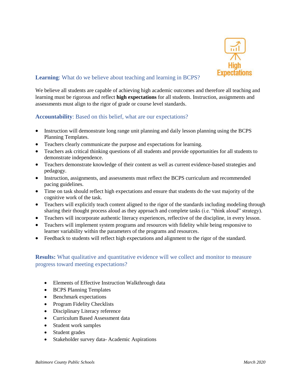

We believe all students are capable of achieving high academic outcomes and therefore all teaching and learning must be rigorous and reflect **high expectations** for all students. Instruction, assignments and assessments must align to the rigor of grade or course level standards.

#### **Accountability**: Based on this belief, what are our expectations?

- Instruction will demonstrate long range unit planning and daily lesson planning using the BCPS Planning Templates.
- Teachers clearly communicate the purpose and expectations for learning.
- Teachers ask critical thinking questions of all students and provide opportunities for all students to demonstrate independence.
- Teachers demonstrate knowledge of their content as well as current evidence-based strategies and pedagogy.
- Instruction, assignments, and assessments must reflect the BCPS curriculum and recommended pacing guidelines.
- Time on task should reflect high expectations and ensure that students do the vast majority of the cognitive work of the task.
- Teachers will explicitly teach content aligned to the rigor of the standards including modeling through sharing their thought process aloud as they approach and complete tasks (i.e. "think aloud" strategy).
- Teachers will incorporate authentic literacy experiences, reflective of the discipline, in every lesson.
- Teachers will implement system programs and resources with fidelity while being responsive to learner variability within the parameters of the programs and resources.
- Feedback to students will reflect high expectations and alignment to the rigor of the standard.

- Elements of Effective Instruction Walkthrough data
- BCPS Planning Templates
- Benchmark expectations
- Program Fidelity Checklists
- Disciplinary Literacy reference
- Curriculum Based Assessment data
- Student work samples
- Student grades
- Stakeholder survey data-Academic Aspirations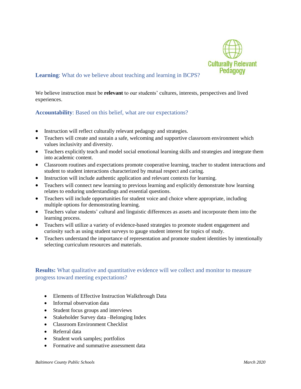

We believe instruction must be **relevant** to our students' cultures, interests, perspectives and lived experiences.

#### **Accountability**: Based on this belief, what are our expectations?

- Instruction will reflect culturally relevant pedagogy and strategies.
- Teachers will create and sustain a safe, welcoming and supportive classroom environment which values inclusivity and diversity.
- Teachers explicitly teach and model social emotional learning skills and strategies and integrate them into academic content.
- Classroom routines and expectations promote cooperative learning, teacher to student interactions and student to student interactions characterized by mutual respect and caring.
- Instruction will include authentic application and relevant contexts for learning.
- Teachers will connect new learning to previous learning and explicitly demonstrate how learning relates to enduring understandings and essential questions.
- Teachers will include opportunities for student voice and choice where appropriate, including multiple options for demonstrating learning.
- Teachers value students' cultural and linguistic differences as assets and incorporate them into the learning process.
- Teachers will utilize a variety of evidence-based strategies to promote student engagement and curiosity such as using student surveys to gauge student interest for topics of study.
- Teachers understand the importance of representation and promote student identities by intentionally selecting curriculum resources and materials.

- Elements of Effective Instruction Walkthrough Data
- Informal observation data
- Student focus groups and interviews
- Stakeholder Survey data –Belonging Index
- Classroom Environment Checklist
- Referral data
- Student work samples; portfolios
- Formative and summative assessment data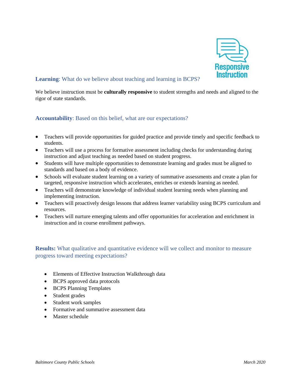

We believe instruction must be **culturally responsive** to student strengths and needs and aligned to the rigor of state standards.

## **Accountability**: Based on this belief, what are our expectations?

- Teachers will provide opportunities for guided practice and provide timely and specific feedback to students.
- Teachers will use a process for formative assessment including checks for understanding during instruction and adjust teaching as needed based on student progress.
- Students will have multiple opportunities to demonstrate learning and grades must be aligned to standards and based on a body of evidence.
- Schools will evaluate student learning on a variety of summative assessments and create a plan for targeted, responsive instruction which accelerates, enriches or extends learning as needed.
- Teachers will demonstrate knowledge of individual student learning needs when planning and implementing instruction.
- Teachers will proactively design lessons that address learner variability using BCPS curriculum and resources.
- Teachers will nurture emerging talents and offer opportunities for acceleration and enrichment in instruction and in course enrollment pathways.

- Elements of Effective Instruction Walkthrough data
- BCPS approved data protocols
- BCPS Planning Templates
- Student grades
- Student work samples
- Formative and summative assessment data
- Master schedule